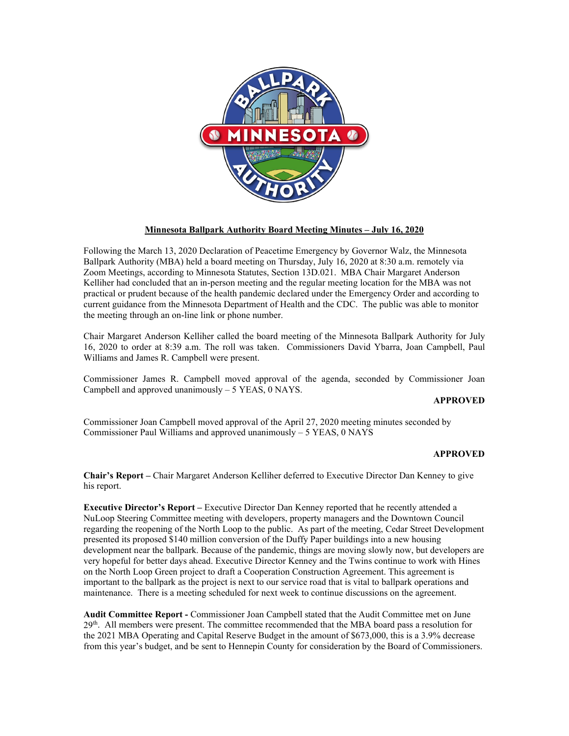

### **Minnesota Ballpark Authority Board Meeting Minutes – July 16, 2020**

Following the March 13, 2020 Declaration of Peacetime Emergency by Governor Walz, the Minnesota Ballpark Authority (MBA) held a board meeting on Thursday, July 16, 2020 at 8:30 a.m. remotely via Zoom Meetings, according to Minnesota Statutes, Section 13D.021. MBA Chair Margaret Anderson Kelliher had concluded that an in-person meeting and the regular meeting location for the MBA was not practical or prudent because of the health pandemic declared under the Emergency Order and according to current guidance from the Minnesota Department of Health and the CDC. The public was able to monitor the meeting through an on-line link or phone number.

Chair Margaret Anderson Kelliher called the board meeting of the Minnesota Ballpark Authority for July 16, 2020 to order at 8:39 a.m. The roll was taken. Commissioners David Ybarra, Joan Campbell, Paul Williams and James R. Campbell were present.

Commissioner James R. Campbell moved approval of the agenda, seconded by Commissioner Joan Campbell and approved unanimously  $-5$  YEAS, 0 NAYS.

### **APPROVED**

Commissioner Joan Campbell moved approval of the April 27, 2020 meeting minutes seconded by Commissioner Paul Williams and approved unanimously – 5 YEAS, 0 NAYS

### **APPROVED**

**Chair's Report –** Chair Margaret Anderson Kelliher deferred to Executive Director Dan Kenney to give his report.

**Executive Director's Report –** Executive Director Dan Kenney reported that he recently attended a NuLoop Steering Committee meeting with developers, property managers and the Downtown Council regarding the reopening of the North Loop to the public. As part of the meeting, Cedar Street Development presented its proposed \$140 million conversion of the Duffy Paper buildings into a new housing development near the ballpark. Because of the pandemic, things are moving slowly now, but developers are very hopeful for better days ahead. Executive Director Kenney and the Twins continue to work with Hines on the North Loop Green project to draft a Cooperation Construction Agreement. This agreement is important to the ballpark as the project is next to our service road that is vital to ballpark operations and maintenance. There is a meeting scheduled for next week to continue discussions on the agreement.

**Audit Committee Report -** Commissioner Joan Campbell stated that the Audit Committee met on June 29<sup>th</sup>. All members were present. The committee recommended that the MBA board pass a resolution for the 2021 MBA Operating and Capital Reserve Budget in the amount of \$673,000, this is a 3.9% decrease from this year's budget, and be sent to Hennepin County for consideration by the Board of Commissioners.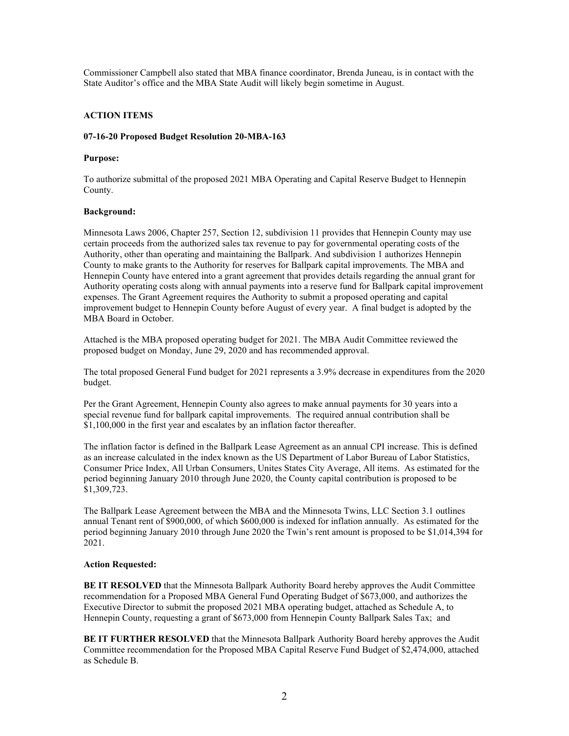Commissioner Campbell also stated that MBA finance coordinator, Brenda Juneau, is in contact with the State Auditor's office and the MBA State Audit will likely begin sometime in August.

### **ACTION ITEMS**

### **07-16-20 Proposed Budget Resolution 20-MBA-163**

### **Purpose:**

To authorize submittal of the proposed 2021 MBA Operating and Capital Reserve Budget to Hennepin County.

### **Background:**

Minnesota Laws 2006, Chapter 257, Section 12, subdivision 11 provides that Hennepin County may use certain proceeds from the authorized sales tax revenue to pay for governmental operating costs of the Authority, other than operating and maintaining the Ballpark. And subdivision 1 authorizes Hennepin County to make grants to the Authority for reserves for Ballpark capital improvements. The MBA and Hennepin County have entered into a grant agreement that provides details regarding the annual grant for Authority operating costs along with annual payments into a reserve fund for Ballpark capital improvement expenses. The Grant Agreement requires the Authority to submit a proposed operating and capital improvement budget to Hennepin County before August of every year. A final budget is adopted by the MBA Board in October.

Attached is the MBA proposed operating budget for 2021. The MBA Audit Committee reviewed the proposed budget on Monday, June 29, 2020 and has recommended approval.

The total proposed General Fund budget for 2021 represents a 3.9% decrease in expenditures from the 2020 budget.

Per the Grant Agreement, Hennepin County also agrees to make annual payments for 30 years into a special revenue fund for ballpark capital improvements. The required annual contribution shall be \$1,100,000 in the first year and escalates by an inflation factor thereafter.

The inflation factor is defined in the Ballpark Lease Agreement as an annual CPI increase. This is defined as an increase calculated in the index known as the US Department of Labor Bureau of Labor Statistics, Consumer Price Index, All Urban Consumers, Unites States City Average, All items. As estimated for the period beginning January 2010 through June 2020, the County capital contribution is proposed to be \$1,309,723.

The Ballpark Lease Agreement between the MBA and the Minnesota Twins, LLC Section 3.1 outlines annual Tenant rent of \$900,000, of which \$600,000 is indexed for inflation annually. As estimated for the period beginning January 2010 through June 2020 the Twin's rent amount is proposed to be \$1,014,394 for 2021.

### **Action Requested:**

**BE IT RESOLVED** that the Minnesota Ballpark Authority Board hereby approves the Audit Committee recommendation for a Proposed MBA General Fund Operating Budget of \$673,000, and authorizes the Executive Director to submit the proposed 2021 MBA operating budget, attached as Schedule A, to Hennepin County, requesting a grant of \$673,000 from Hennepin County Ballpark Sales Tax; and

**BE IT FURTHER RESOLVED** that the Minnesota Ballpark Authority Board hereby approves the Audit Committee recommendation for the Proposed MBA Capital Reserve Fund Budget of \$2,474,000, attached as Schedule B.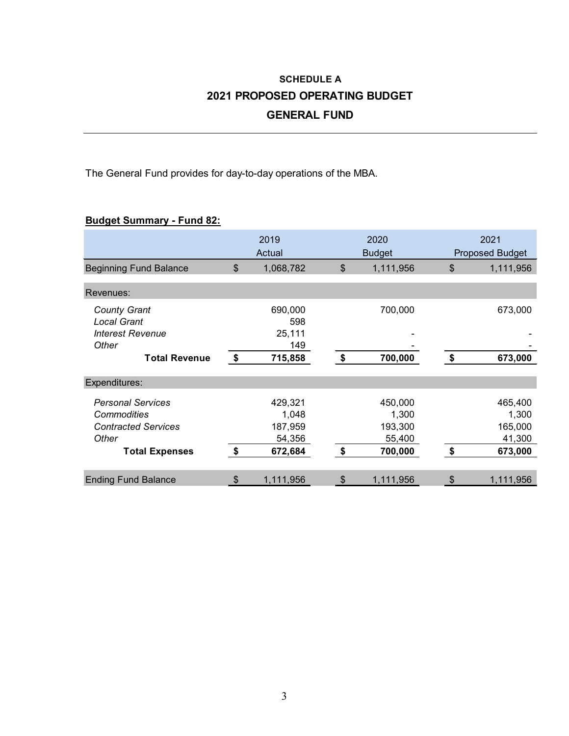# **SCHEDULE A 2021 PROPOSED OPERATING BUDGET GENERAL FUND**

The General Fund provides for day-to-day operations of the MBA.

### **Budget Summary - Fund 82:**

|                                                                                                                |    | 2019<br>Actual                                   | 2020<br><b>Budget</b>                                  | 2021<br><b>Proposed Budget</b>                         |  |  |
|----------------------------------------------------------------------------------------------------------------|----|--------------------------------------------------|--------------------------------------------------------|--------------------------------------------------------|--|--|
| <b>Beginning Fund Balance</b>                                                                                  |    | 1,068,782                                        | \$<br>1,111,956                                        | \$<br>1,111,956                                        |  |  |
| Revenues:                                                                                                      |    |                                                  |                                                        |                                                        |  |  |
| <b>County Grant</b><br><b>Local Grant</b><br><b>Interest Revenue</b><br>Other                                  |    | 690,000<br>598<br>25,111<br>149                  | 700,000                                                | 673,000                                                |  |  |
| <b>Total Revenue</b>                                                                                           | \$ | 715,858                                          | \$<br>700,000                                          | \$<br>673,000                                          |  |  |
| Expenditures:                                                                                                  |    |                                                  |                                                        |                                                        |  |  |
| <b>Personal Services</b><br><b>Commodities</b><br><b>Contracted Services</b><br>Other<br><b>Total Expenses</b> | \$ | 429,321<br>1,048<br>187,959<br>54,356<br>672,684 | \$<br>450,000<br>1,300<br>193,300<br>55,400<br>700,000 | \$<br>465,400<br>1,300<br>165,000<br>41,300<br>673,000 |  |  |
| <b>Ending Fund Balance</b>                                                                                     | \$ | 1,111,956                                        | \$<br>1,111,956                                        | \$<br>1,111,956                                        |  |  |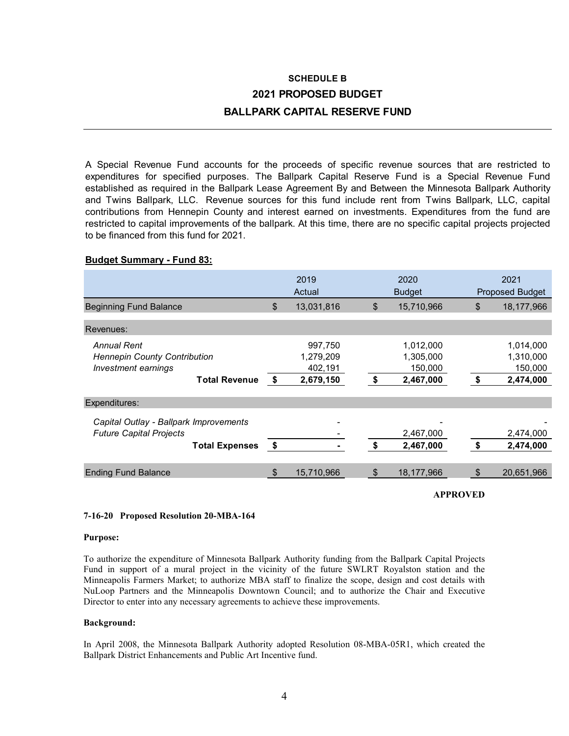## **SCHEDULE B 2021 PROPOSED BUDGET BALLPARK CAPITAL RESERVE FUND**

A Special Revenue Fund accounts for the proceeds of specific revenue sources that are restricted to expenditures for specified purposes. The Ballpark Capital Reserve Fund is a Special Revenue Fund established as required in the Ballpark Lease Agreement By and Between the Minnesota Ballpark Authority and Twins Ballpark, LLC. Revenue sources for this fund include rent from Twins Ballpark, LLC, capital contributions from Hennepin County and interest earned on investments. Expenditures from the fund are restricted to capital improvements of the ballpark. At this time, there are no specific capital projects projected to be financed from this fund for 2021.

### **Budget Summary - Fund 83:**

|                                        | 2019<br>Actual   |                           | 2020<br><b>Budget</b> | 2021<br>Proposed Budget |
|----------------------------------------|------------------|---------------------------|-----------------------|-------------------------|
| <b>Beginning Fund Balance</b>          | \$<br>13,031,816 | $\boldsymbol{\mathsf{S}}$ | 15,710,966            | \$<br>18,177,966        |
| Revenues:                              |                  |                           |                       |                         |
| <b>Annual Rent</b>                     | 997,750          |                           | 1,012,000             | 1,014,000               |
| <b>Hennepin County Contribution</b>    | 1,279,209        |                           | 1,305,000             | 1,310,000               |
| Investment earnings                    | 402,191          |                           | 150,000               | 150,000                 |
| <b>Total Revenue</b>                   | \$<br>2,679,150  | \$                        | 2,467,000             | \$<br>2,474,000         |
| Expenditures:                          |                  |                           |                       |                         |
| Capital Outlay - Ballpark Improvements |                  |                           |                       |                         |
| <b>Future Capital Projects</b>         |                  |                           | 2,467,000             | 2,474,000               |
| <b>Total Expenses</b>                  | \$               | \$                        | 2,467,000             | \$<br>2,474,000         |
| <b>Ending Fund Balance</b>             | \$<br>15,710,966 | \$                        | 18,177,966            | \$<br>20,651,966        |
|                                        |                  |                           |                       |                         |

**APPROVED**

### **7-16-20 Proposed Resolution 20-MBA-164**

### **Purpose:**

To authorize the expenditure of Minnesota Ballpark Authority funding from the Ballpark Capital Projects Fund in support of a mural project in the vicinity of the future SWLRT Royalston station and the Minneapolis Farmers Market; to authorize MBA staff to finalize the scope, design and cost details with NuLoop Partners and the Minneapolis Downtown Council; and to authorize the Chair and Executive Director to enter into any necessary agreements to achieve these improvements.

### **Background:**

In April 2008, the Minnesota Ballpark Authority adopted Resolution 08-MBA-05R1, which created the Ballpark District Enhancements and Public Art Incentive fund.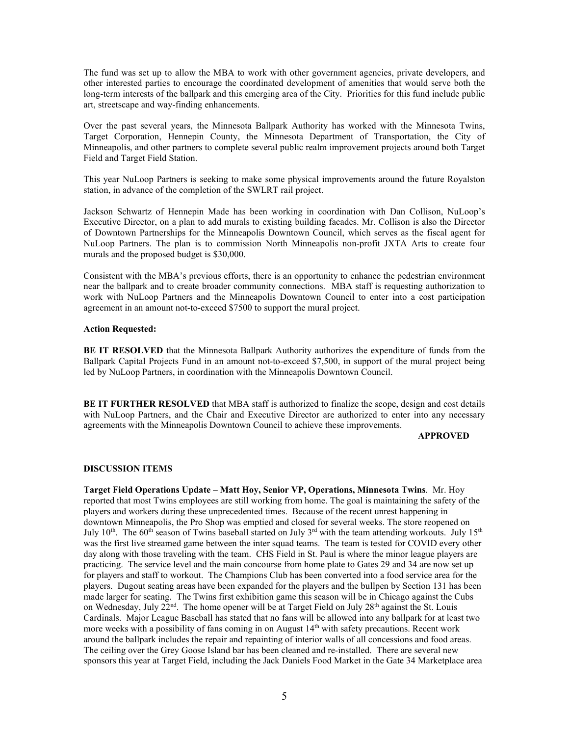The fund was set up to allow the MBA to work with other government agencies, private developers, and other interested parties to encourage the coordinated development of amenities that would serve both the long-term interests of the ballpark and this emerging area of the City. Priorities for this fund include public art, streetscape and way-finding enhancements.

Over the past several years, the Minnesota Ballpark Authority has worked with the Minnesota Twins, Target Corporation, Hennepin County, the Minnesota Department of Transportation, the City of Minneapolis, and other partners to complete several public realm improvement projects around both Target Field and Target Field Station.

This year NuLoop Partners is seeking to make some physical improvements around the future Royalston station, in advance of the completion of the SWLRT rail project.

Jackson Schwartz of Hennepin Made has been working in coordination with Dan Collison, NuLoop's Executive Director, on a plan to add murals to existing building facades. Mr. Collison is also the Director of Downtown Partnerships for the Minneapolis Downtown Council, which serves as the fiscal agent for NuLoop Partners. The plan is to commission North Minneapolis non-profit JXTA Arts to create four murals and the proposed budget is \$30,000.

Consistent with the MBA's previous efforts, there is an opportunity to enhance the pedestrian environment near the ballpark and to create broader community connections. MBA staff is requesting authorization to work with NuLoop Partners and the Minneapolis Downtown Council to enter into a cost participation agreement in an amount not-to-exceed \$7500 to support the mural project.

### **Action Requested:**

**BE IT RESOLVED** that the Minnesota Ballpark Authority authorizes the expenditure of funds from the Ballpark Capital Projects Fund in an amount not-to-exceed \$7,500, in support of the mural project being led by NuLoop Partners, in coordination with the Minneapolis Downtown Council.

**BE IT FURTHER RESOLVED** that MBA staff is authorized to finalize the scope, design and cost details with NuLoop Partners, and the Chair and Executive Director are authorized to enter into any necessary agreements with the Minneapolis Downtown Council to achieve these improvements.

### **APPROVED**

### **DISCUSSION ITEMS**

**Target Field Operations Update** – **Matt Hoy, Senior VP, Operations, Minnesota Twins**. Mr. Hoy reported that most Twins employees are still working from home. The goal is maintaining the safety of the players and workers during these unprecedented times. Because of the recent unrest happening in downtown Minneapolis, the Pro Shop was emptied and closed for several weeks. The store reopened on July  $10^{th}$ . The 60<sup>th</sup> season of Twins baseball started on July 3<sup>rd</sup> with the team attending workouts. July  $15^{th}$ was the first live streamed game between the inter squad teams. The team is tested for COVID every other day along with those traveling with the team. CHS Field in St. Paul is where the minor league players are practicing. The service level and the main concourse from home plate to Gates 29 and 34 are now set up for players and staff to workout. The Champions Club has been converted into a food service area for the players. Dugout seating areas have been expanded for the players and the bullpen by Section 131 has been made larger for seating. The Twins first exhibition game this season will be in Chicago against the Cubs on Wednesday, July  $22<sup>nd</sup>$ . The home opener will be at Target Field on July  $28<sup>th</sup>$  against the St. Louis Cardinals. Major League Baseball has stated that no fans will be allowed into any ballpark for at least two more weeks with a possibility of fans coming in on August 14<sup>th</sup> with safety precautions. Recent work around the ballpark includes the repair and repainting of interior walls of all concessions and food areas. The ceiling over the Grey Goose Island bar has been cleaned and re-installed. There are several new sponsors this year at Target Field, including the Jack Daniels Food Market in the Gate 34 Marketplace area